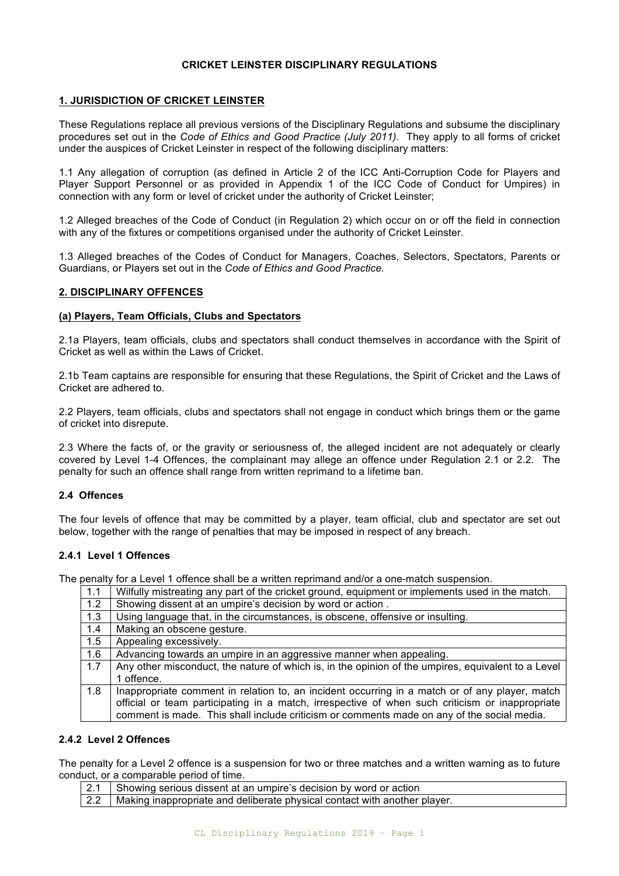## **CRICKET LEINSTER DISCIPLINARY REGULATIONS**

## **1. JURISDICTION OF CRICKET LEINSTER**

These Regulations replace all previous versions of the Disciplinary Regulations and subsume the disciplinary procedures set out in the *Code of Ethics and Good Practice (July 2011).* They apply to all forms of cricket under the auspices of Cricket Leinster in respect of the following disciplinary matters:

1.1 Any allegation of corruption (as defined in Article 2 of the ICC Anti-Corruption Code for Players and Player Support Personnel or as provided in Appendix 1 of the ICC Code of Conduct for Umpires) in connection with any form or level of cricket under the authority of Cricket Leinster;

1.2 Alleged breaches of the Code of Conduct (in Regulation 2) which occur on or off the field in connection with any of the fixtures or competitions organised under the authority of Cricket Leinster.

1.3 Alleged breaches of the Codes of Conduct for Managers, Coaches, Selectors, Spectators, Parents or Guardians, or Players set out in the *Code of Ethics and Good Practice.*

### **2. DISCIPLINARY OFFENCES**

### **(a) Players, Team Officials, Clubs and Spectators**

2.1a Players, team officials, clubs and spectators shall conduct themselves in accordance with the Spirit of Cricket as well as within the Laws of Cricket.

2.1b Team captains are responsible for ensuring that these Regulations, the Spirit of Cricket and the Laws of Cricket are adhered to.

2.2 Players, team officials, clubs and spectators shall not engage in conduct which brings them or the game of cricket into disrepute.

2.3 Where the facts of, or the gravity or seriousness of, the alleged incident are not adequately or clearly covered by Level 1-4 Offences, the complainant may allege an offence under Regulation 2.1 or 2.2. The penalty for such an offence shall range from written reprimand to a lifetime ban.

### **2.4 Offences**

The four levels of offence that may be committed by a player, team official, club and spectator are set out below, together with the range of penalties that may be imposed in respect of any breach.

### **2.4.1 Level 1 Offences**

The penalty for a Level 1 offence shall be a written reprimand and/or a one-match suspension.

| 1.1 | Wilfully mistreating any part of the cricket ground, equipment or implements used in the match.    |
|-----|----------------------------------------------------------------------------------------------------|
| 1.2 | Showing dissent at an umpire's decision by word or action.                                         |
| 1.3 | Using language that, in the circumstances, is obscene, offensive or insulting.                     |
| 1.4 | Making an obscene gesture.                                                                         |
| 1.5 | Appealing excessively.                                                                             |
| 1.6 | Advancing towards an umpire in an aggressive manner when appealing.                                |
| 1.7 | Any other misconduct, the nature of which is, in the opinion of the umpires, equivalent to a Level |
|     | 1 offence.                                                                                         |
| 1.8 | Inappropriate comment in relation to, an incident occurring in a match or of any player, match     |
|     | official or team participating in a match, irrespective of when such criticism or inappropriate    |
|     | comment is made. This shall include criticism or comments made on any of the social media.         |

### **2.4.2 Level 2 Offences**

The penalty for a Level 2 offence is a suspension for two or three matches and a written warning as to future conduct, or a comparable period of time.

- 2.1 Showing serious dissent at an umpire's decision by word or action
- 2.2 Making inappropriate and deliberate physical contact with another player.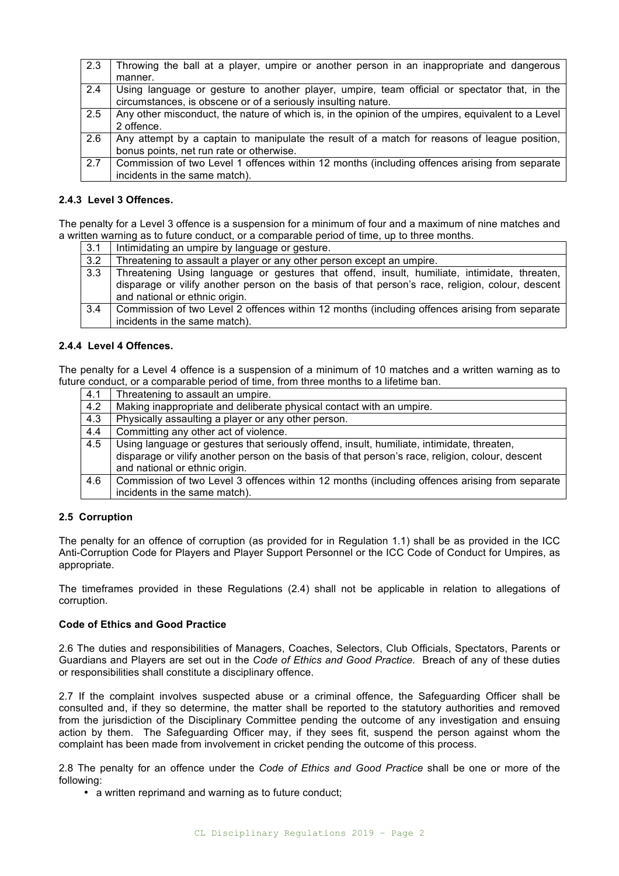| 2.3 | Throwing the ball at a player, umpire or another person in an inappropriate and dangerous          |
|-----|----------------------------------------------------------------------------------------------------|
|     | manner.                                                                                            |
| 2.4 | Using language or gesture to another player, umpire, team official or spectator that, in the       |
|     | circumstances, is obscene or of a seriously insulting nature.                                      |
| 2.5 | Any other misconduct, the nature of which is, in the opinion of the umpires, equivalent to a Level |
|     | 2 offence.                                                                                         |
| 2.6 | Any attempt by a captain to manipulate the result of a match for reasons of league position,       |
|     | bonus points, net run rate or otherwise.                                                           |
| 2.7 | Commission of two Level 1 offences within 12 months (including offences arising from separate      |
|     | incidents in the same match).                                                                      |

## **2.4.3 Level 3 Offences.**

The penalty for a Level 3 offence is a suspension for a minimum of four and a maximum of nine matches and a written warning as to future conduct, or a comparable period of time, up to three months.

| 3.1 | Intimidating an umpire by language or gesture.                                                   |
|-----|--------------------------------------------------------------------------------------------------|
| 3.2 | Threatening to assault a player or any other person except an umpire.                            |
| 3.3 | Threatening Using language or gestures that offend, insult, humiliate, intimidate, threaten,     |
|     | disparage or vilify another person on the basis of that person's race, religion, colour, descent |
|     | and national or ethnic origin.                                                                   |
| 3.4 | Commission of two Level 2 offences within 12 months (including offences arising from separate    |
|     | incidents in the same match).                                                                    |

## **2.4.4 Level 4 Offences.**

The penalty for a Level 4 offence is a suspension of a minimum of 10 matches and a written warning as to future conduct, or a comparable period of time, from three months to a lifetime ban.

| 4.1 | Threatening to assault an umpire.                                                                |
|-----|--------------------------------------------------------------------------------------------------|
| 4.2 | Making inappropriate and deliberate physical contact with an umpire.                             |
| 4.3 | Physically assaulting a player or any other person.                                              |
| 4.4 | Committing any other act of violence.                                                            |
| 4.5 | Using language or gestures that seriously offend, insult, humiliate, intimidate, threaten,       |
|     | disparage or vilify another person on the basis of that person's race, religion, colour, descent |
|     | and national or ethnic origin.                                                                   |
| 4.6 | Commission of two Level 3 offences within 12 months (including offences arising from separate    |
|     | incidents in the same match).                                                                    |

### **2.5 Corruption**

The penalty for an offence of corruption (as provided for in Regulation 1.1) shall be as provided in the ICC Anti-Corruption Code for Players and Player Support Personnel or the ICC Code of Conduct for Umpires, as appropriate.

The timeframes provided in these Regulations (2.4) shall not be applicable in relation to allegations of corruption.

### **Code of Ethics and Good Practice**

2.6 The duties and responsibilities of Managers, Coaches, Selectors, Club Officials, Spectators, Parents or Guardians and Players are set out in the *Code of Ethics and Good Practice.* Breach of any of these duties or responsibilities shall constitute a disciplinary offence.

2.7 If the complaint involves suspected abuse or a criminal offence, the Safeguarding Officer shall be consulted and, if they so determine, the matter shall be reported to the statutory authorities and removed from the jurisdiction of the Disciplinary Committee pending the outcome of any investigation and ensuing action by them. The Safeguarding Officer may, if they sees fit, suspend the person against whom the complaint has been made from involvement in cricket pending the outcome of this process.

2.8 The penalty for an offence under the *Code of Ethics and Good Practice* shall be one or more of the following:

• a written reprimand and warning as to future conduct;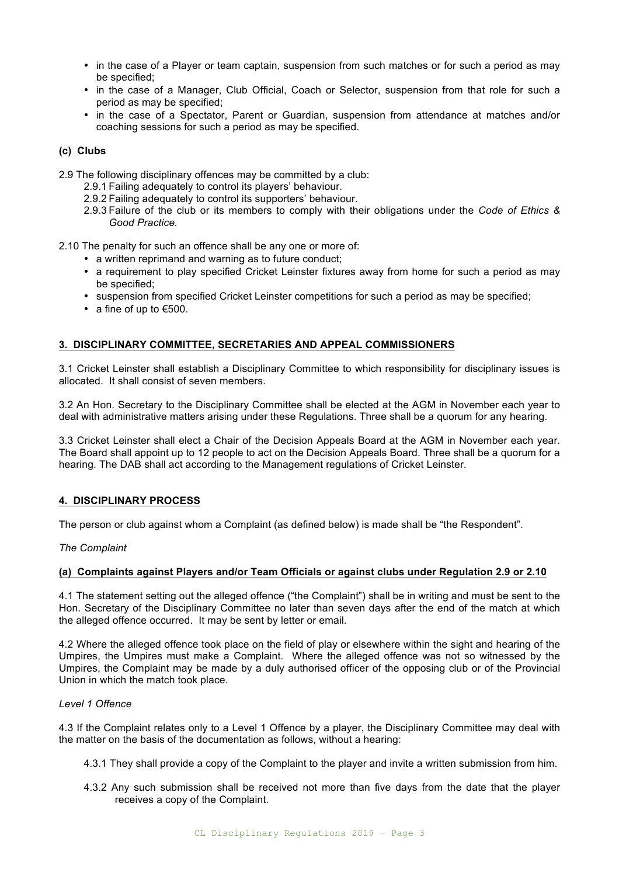- in the case of a Player or team captain, suspension from such matches or for such a period as may be specified;
- in the case of a Manager, Club Official, Coach or Selector, suspension from that role for such a period as may be specified;
- in the case of a Spectator, Parent or Guardian, suspension from attendance at matches and/or coaching sessions for such a period as may be specified.

## **(c) Clubs**

2.9 The following disciplinary offences may be committed by a club:

- 2.9.1 Failing adequately to control its players' behaviour.
- 2.9.2 Failing adequately to control its supporters' behaviour.
- 2.9.3 Failure of the club or its members to comply with their obligations under the *Code of Ethics & Good Practice.*

2.10 The penalty for such an offence shall be any one or more of:

- a written reprimand and warning as to future conduct;
- a requirement to play specified Cricket Leinster fixtures away from home for such a period as may be specified;
- suspension from specified Cricket Leinster competitions for such a period as may be specified;
- a fine of up to  $€500$ .

## **3. DISCIPLINARY COMMITTEE, SECRETARIES AND APPEAL COMMISSIONERS**

3.1 Cricket Leinster shall establish a Disciplinary Committee to which responsibility for disciplinary issues is allocated. It shall consist of seven members.

3.2 An Hon. Secretary to the Disciplinary Committee shall be elected at the AGM in November each year to deal with administrative matters arising under these Regulations. Three shall be a quorum for any hearing.

3.3 Cricket Leinster shall elect a Chair of the Decision Appeals Board at the AGM in November each year. The Board shall appoint up to 12 people to act on the Decision Appeals Board. Three shall be a quorum for a hearing. The DAB shall act according to the Management regulations of Cricket Leinster.

# **4. DISCIPLINARY PROCESS**

The person or club against whom a Complaint (as defined below) is made shall be "the Respondent".

### *The Complaint*

# **(a) Complaints against Players and/or Team Officials or against clubs under Regulation 2.9 or 2.10**

4.1 The statement setting out the alleged offence ("the Complaint") shall be in writing and must be sent to the Hon. Secretary of the Disciplinary Committee no later than seven days after the end of the match at which the alleged offence occurred. It may be sent by letter or email.

4.2 Where the alleged offence took place on the field of play or elsewhere within the sight and hearing of the Umpires, the Umpires must make a Complaint. Where the alleged offence was not so witnessed by the Umpires, the Complaint may be made by a duly authorised officer of the opposing club or of the Provincial Union in which the match took place.

### *Level 1 Offence*

4.3 If the Complaint relates only to a Level 1 Offence by a player, the Disciplinary Committee may deal with the matter on the basis of the documentation as follows, without a hearing:

- 4.3.1 They shall provide a copy of the Complaint to the player and invite a written submission from him.
- 4.3.2 Any such submission shall be received not more than five days from the date that the player receives a copy of the Complaint.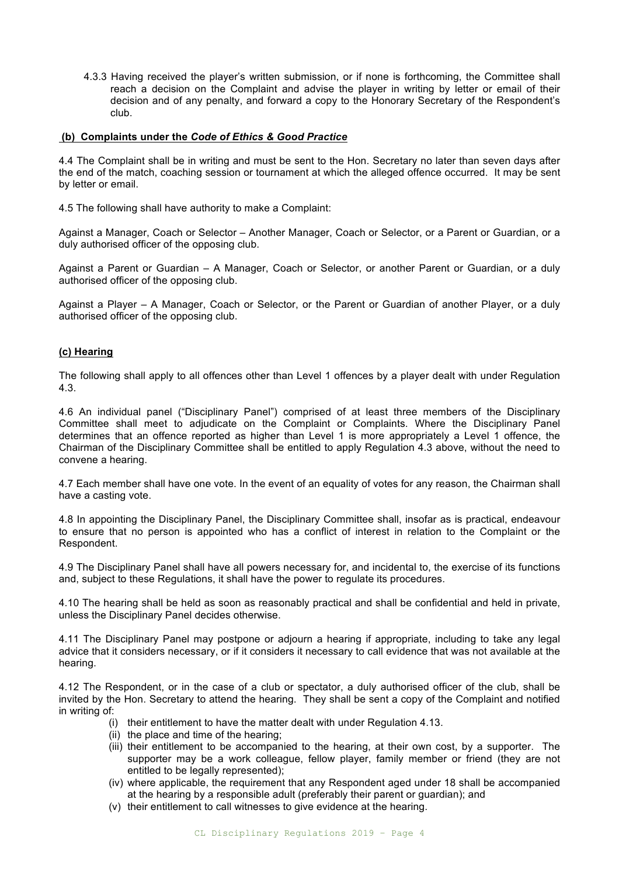4.3.3 Having received the player's written submission, or if none is forthcoming, the Committee shall reach a decision on the Complaint and advise the player in writing by letter or email of their decision and of any penalty, and forward a copy to the Honorary Secretary of the Respondent's club.

### **(b) Complaints under the** *Code of Ethics & Good Practice*

4.4 The Complaint shall be in writing and must be sent to the Hon. Secretary no later than seven days after the end of the match, coaching session or tournament at which the alleged offence occurred. It may be sent by letter or email.

4.5 The following shall have authority to make a Complaint:

Against a Manager, Coach or Selector – Another Manager, Coach or Selector, or a Parent or Guardian, or a duly authorised officer of the opposing club.

Against a Parent or Guardian – A Manager, Coach or Selector, or another Parent or Guardian, or a duly authorised officer of the opposing club.

Against a Player – A Manager, Coach or Selector, or the Parent or Guardian of another Player, or a duly authorised officer of the opposing club.

### **(c) Hearing**

The following shall apply to all offences other than Level 1 offences by a player dealt with under Regulation 4.3.

4.6 An individual panel ("Disciplinary Panel") comprised of at least three members of the Disciplinary Committee shall meet to adjudicate on the Complaint or Complaints. Where the Disciplinary Panel determines that an offence reported as higher than Level 1 is more appropriately a Level 1 offence, the Chairman of the Disciplinary Committee shall be entitled to apply Regulation 4.3 above, without the need to convene a hearing.

4.7 Each member shall have one vote. In the event of an equality of votes for any reason, the Chairman shall have a casting vote.

4.8 In appointing the Disciplinary Panel, the Disciplinary Committee shall, insofar as is practical, endeavour to ensure that no person is appointed who has a conflict of interest in relation to the Complaint or the Respondent.

4.9 The Disciplinary Panel shall have all powers necessary for, and incidental to, the exercise of its functions and, subject to these Regulations, it shall have the power to regulate its procedures.

4.10 The hearing shall be held as soon as reasonably practical and shall be confidential and held in private, unless the Disciplinary Panel decides otherwise.

4.11 The Disciplinary Panel may postpone or adjourn a hearing if appropriate, including to take any legal advice that it considers necessary, or if it considers it necessary to call evidence that was not available at the hearing.

4.12 The Respondent, or in the case of a club or spectator, a duly authorised officer of the club, shall be invited by the Hon. Secretary to attend the hearing. They shall be sent a copy of the Complaint and notified in writing of:

- (i) their entitlement to have the matter dealt with under Regulation 4.13.
- (ii) the place and time of the hearing;
- (iii) their entitlement to be accompanied to the hearing, at their own cost, by a supporter. The supporter may be a work colleague, fellow player, family member or friend (they are not entitled to be legally represented);
- (iv) where applicable, the requirement that any Respondent aged under 18 shall be accompanied at the hearing by a responsible adult (preferably their parent or guardian); and
- (v) their entitlement to call witnesses to give evidence at the hearing.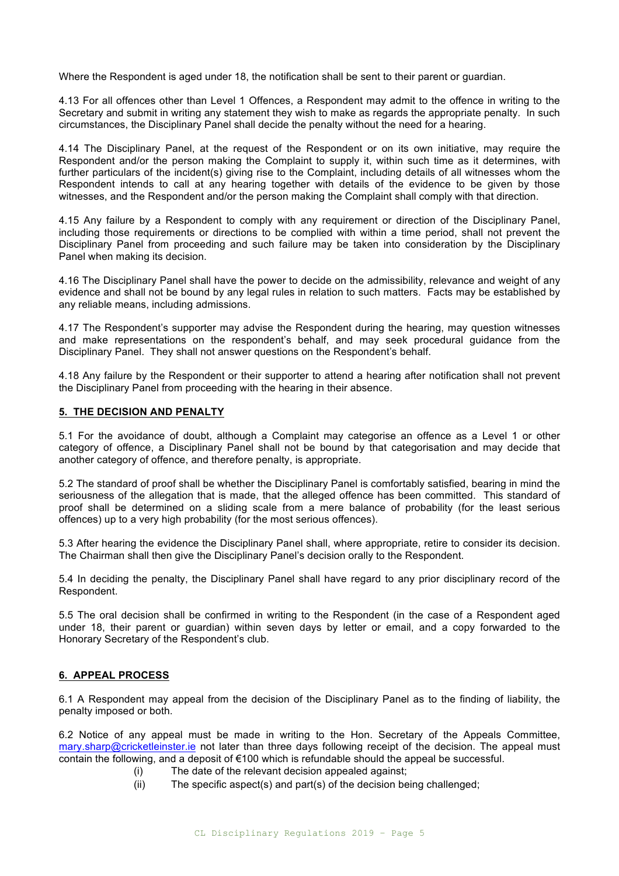Where the Respondent is aged under 18, the notification shall be sent to their parent or guardian.

4.13 For all offences other than Level 1 Offences, a Respondent may admit to the offence in writing to the Secretary and submit in writing any statement they wish to make as regards the appropriate penalty. In such circumstances, the Disciplinary Panel shall decide the penalty without the need for a hearing.

4.14 The Disciplinary Panel, at the request of the Respondent or on its own initiative, may require the Respondent and/or the person making the Complaint to supply it, within such time as it determines, with further particulars of the incident(s) giving rise to the Complaint, including details of all witnesses whom the Respondent intends to call at any hearing together with details of the evidence to be given by those witnesses, and the Respondent and/or the person making the Complaint shall comply with that direction.

4.15 Any failure by a Respondent to comply with any requirement or direction of the Disciplinary Panel, including those requirements or directions to be complied with within a time period, shall not prevent the Disciplinary Panel from proceeding and such failure may be taken into consideration by the Disciplinary Panel when making its decision.

4.16 The Disciplinary Panel shall have the power to decide on the admissibility, relevance and weight of any evidence and shall not be bound by any legal rules in relation to such matters. Facts may be established by any reliable means, including admissions.

4.17 The Respondent's supporter may advise the Respondent during the hearing, may question witnesses and make representations on the respondent's behalf, and may seek procedural guidance from the Disciplinary Panel. They shall not answer questions on the Respondent's behalf.

4.18 Any failure by the Respondent or their supporter to attend a hearing after notification shall not prevent the Disciplinary Panel from proceeding with the hearing in their absence.

### **5. THE DECISION AND PENALTY**

5.1 For the avoidance of doubt, although a Complaint may categorise an offence as a Level 1 or other category of offence, a Disciplinary Panel shall not be bound by that categorisation and may decide that another category of offence, and therefore penalty, is appropriate.

5.2 The standard of proof shall be whether the Disciplinary Panel is comfortably satisfied, bearing in mind the seriousness of the allegation that is made, that the alleged offence has been committed. This standard of proof shall be determined on a sliding scale from a mere balance of probability (for the least serious offences) up to a very high probability (for the most serious offences).

5.3 After hearing the evidence the Disciplinary Panel shall, where appropriate, retire to consider its decision. The Chairman shall then give the Disciplinary Panel's decision orally to the Respondent.

5.4 In deciding the penalty, the Disciplinary Panel shall have regard to any prior disciplinary record of the Respondent.

5.5 The oral decision shall be confirmed in writing to the Respondent (in the case of a Respondent aged under 18, their parent or guardian) within seven days by letter or email, and a copy forwarded to the Honorary Secretary of the Respondent's club.

# **6. APPEAL PROCESS**

6.1 A Respondent may appeal from the decision of the Disciplinary Panel as to the finding of liability, the penalty imposed or both.

6.2 Notice of any appeal must be made in writing to the Hon. Secretary of the Appeals Committee, mary.sharp@cricketleinster.ie not later than three days following receipt of the decision. The appeal must contain the following, and a deposit of €100 which is refundable should the appeal be successful.

- (i) The date of the relevant decision appealed against;
- (ii) The specific aspect(s) and part(s) of the decision being challenged;